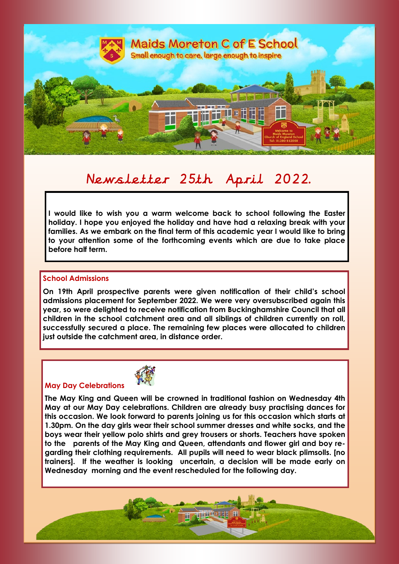

# Newsletter 25th April 2022.

**I would like to wish you a warm welcome back to school following the Easter holiday. I hope you enjoyed the holiday and have had a relaxing break with your families. As we embark on the final term of this academic year I would like to bring to your attention some of the forthcoming events which are due to take place before half term.**

#### **School Admissions**

**On 19th April prospective parents were given notification of their child's school admissions placement for September 2022. We were very oversubscribed again this year, so were delighted to receive notification from Buckinghamshire Council that all children in the school catchment area and all siblings of children currently on roll, successfully secured a place. The remaining few places were allocated to children just outside the catchment area, in distance order.** 

#### **May Day Celebrations**



**The May King and Queen will be crowned in traditional fashion on Wednesday 4th May at our May Day celebrations. Children are already busy practising dances for this occasion. We look forward to parents joining us for this occasion which starts at 1.30pm. On the day girls wear their school summer dresses and white socks, and the boys wear their yellow polo shirts and grey trousers or shorts. Teachers have spoken to the parents of the May King and Queen, attendants and flower girl and boy regarding their clothing requirements. All pupils will need to wear black plimsolls. [no trainers]. If the weather is looking uncertain, a decision will be made early on Wednesday morning and the event rescheduled for the following day.** 

**THE LEADER**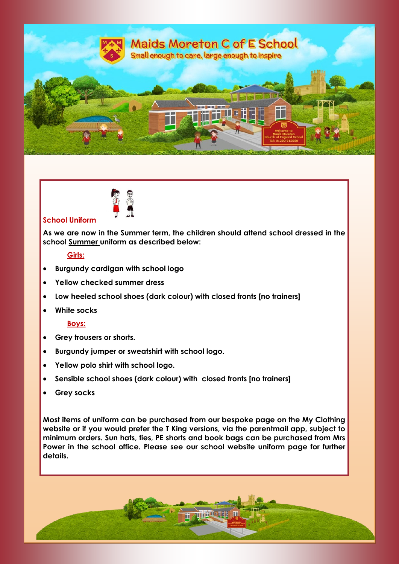



#### **School Uniform**

**As we are now in the Summer term, the children should attend school dressed in the school Summer uniform as described below:**

#### **Girls:**

- **Burgundy cardigan with school logo**
- **Yellow checked summer dress**
- **Low heeled school shoes (dark colour) with closed fronts [no trainers]**
- **White socks**

#### **Boys:**

- **Grey trousers or shorts.**
- **Burgundy jumper or sweatshirt with school logo.**
- **Yellow polo shirt with school logo.**
- **Sensible school shoes (dark colour) with closed fronts [no trainers]**
- **Grey socks**

**Most items of uniform can be purchased from our bespoke page on the My Clothing website or if you would prefer the T King versions, via the parentmail app, subject to minimum orders. Sun hats, ties, PE shorts and book bags can be purchased from Mrs Power in the school office. Please see our school website uniform page for further details.**